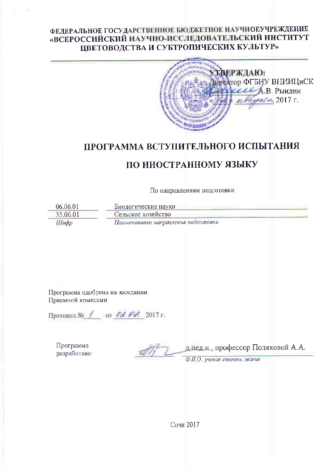### ФЕДЕРАЛЬНОЕ ГОСУДАРСТВЕННОЕ БЮДЖЕТНОЕ НАУЧНОЕУЧРЕЖДЕНИЕ «ВСЕРОССИЙСКИЙ НАУЧНО-ИССЛЕДОВАТЕЛЬСКИЙ ИНСТИТУТ ЦВЕТОВОДСТВА И СУБТРОПИЧЕСКИХ КУЛЬТУР»



## ПРОГРАММА ВСТУПИТЕЛЬНОГО ИСПЫТАНИЯ

# ПО ИНОСТРАННОМУ ЯЗЫКУ

По направлениям подготовки

06.06.01 Биологические науки 35.06.01 Сельское хозяйство Шифр Наименование направления подготовки

Программа одобрена на заседании Приемной комиссии

Протокол № 1 от 02.02. 2017 г.

Программа разработана:

длед.н., профессор Поляковой А.А.

Ф И О., ученая степень, звание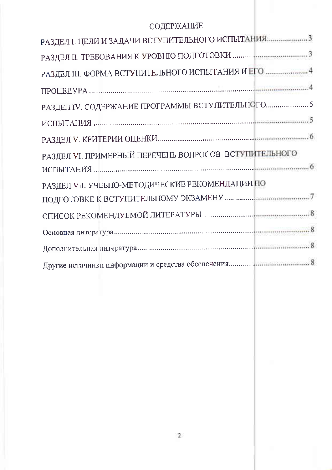# СОДЕРЖАНИЕ

| РАЗДЕЛ VI. ПРИМЕРНЫЙ ПЕРЕЧЕНЬ ВОПРОСОВ ВСТУПИТЕЛЬНОГО |
|-------------------------------------------------------|
|                                                       |
| РАЗДЕЛ VII. УЧЕБНО-МЕТОДИЧЕСКИЕ РЕКОМЕНДАЦИИ ПО       |
|                                                       |
|                                                       |
|                                                       |
|                                                       |
|                                                       |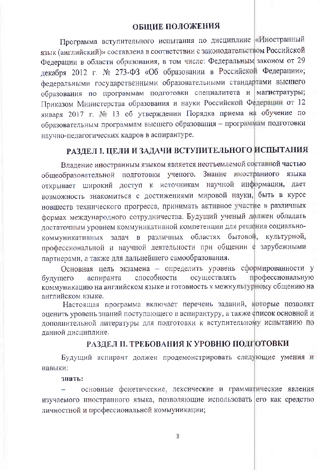### ОБЩИЕ ПОЛОЖЕНИЯ

Программа вступительного испытания по дисциплине «Иностранный язык (английский)» составлена в соответствии с законодательством Российской Федерации в области образования, в том числе: Федеральным законом от 29 декабря 2012 г. № 273-ФЗ «Об образовании в Российской Федерации»; федеральными государственными образовательными стандартами высшего образования по программам подготовки специалитета и магистратуры; Приказом Министерства образования и науки Российской Федерации от 12 января 2017 г. № 13 об утверждении Порядка приема на обучение по образовательным программам высшего образования - программам подготовки научно-педагогических кадров в аспирантуре.

# РАЗДЕЛ І. ЦЕЛИ И ЗАДАЧИ ВСТУПИТЕЛЬНОГО ИСПЫТАНИЯ

Владение иностранным языком является неотъемлемой составной частью общеобразовательной подготовки ученого. Знание иностранного языка открывает широкий доступ к источникам научной информации, дает возможность знакомиться с достижениями мировой науки, быть в курсе новшеств технического прогресса, принимать активное участие в различных формах международного сотрудничества. Будущий ученый дфлжен обладать достаточным уровнем коммуникативной компетенции для решения социальнокоммуникативных задач в различных областях бытовой, культурной, профессиональной и научной деятельности при общении ф зарубежными партнерами, а также для дальнейшего самообразования.

Основная цель экзамена - определить уровень сформированности у профессиональную способности осуществлять будущего аспиранта коммуникацию на английском языке и готовность к межкультурному общению на английском языке.

Настоящая программа включает перечень заданий, которые позволят оценить уровень знаний поступающего в аспирантуру, а также список основной и дополнительной литературы для подготовки к вступительному испытанию по данной дисциплине.

#### РАЗДЕЛ II. ТРЕБОВАНИЯ К УРОВНЮ ПОДГОТОВКИ

Будущий аспирант должен продемонстрировать следующие умения и навыки:

#### знать:

основные фонетические, лексические и грамматические явления изучаемого иностранного языка, позволяющие использовать его как средство личностной и профессиональной коммуникации;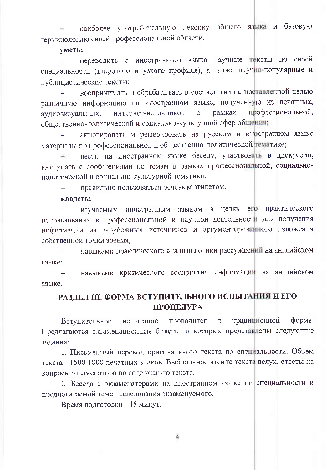наиболее употребительную лексику общего языка и базовую терминологию своей профессиональной области.

уметь:

переводить с иностранного языка научные тексты по своей  $\sim$  . специальности (широкого и узкого профиля), а также научно-популярные и публицистические тексты;

воспринимать и обрабатывать в соответствии с поставленной целью различную информацию на иностранном языке, полученную из печатных, профессиональной, интернет-источников  $\mathbf B$ рамках аудиовизуальных, общественно-политической и социально-культурной сфер общения;

аннотировать и реферировать на русском и иностранном языке материалы по профессиональной и общественно-политической тематике;

вести на иностранном языке беседу, участвовать в дискуссии, выступать с сообщениями по темам в рамках профессиональной, социальнополитической и социально-культурной тематики;

правильно пользоваться речевым этикетом.

владеть:

изучаемым иностранным языком в целях его практического использования в профессиональной и научной деятельности для получения информации из зарубежных источников и аргументированного изложения собственной точки зрения;

навыками практического анализа логики рассуждений на английском языке;

навыками критического восприятия информации на английском языке.

### РАЗДЕЛ III. ФОРМА ВСТУПИТЕЛЬНОГО ИСПЫТАНИЯ И ЕГО ПРОЦЕДУРА

Вступительное проводится  $\mathbf{B}$ традиционной форме. испытание Предлагаются экзаменационные билеты, в которых предстанлены следующие задания:

1. Письменный перевод оригинального текста по специальности. Объем текста - 1500-1800 печатных знаков. Выборочное чтение текста вслух, ответы на вопросы экзаменатора по содержанию текста.

2. Беседа с экзаменаторами на иностранном языке по специальности и предполагаемой теме исследования экзаменуемого.

Время подготовки - 45 минут.

 $\Delta$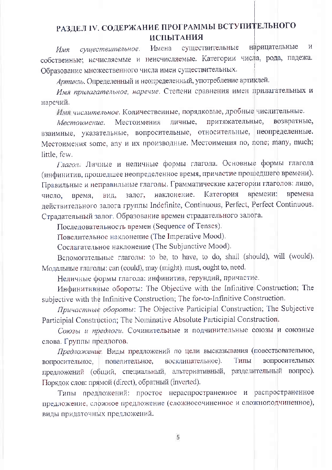## РАЗДЕЛ IV. СОДЕРЖАНИЕ ПРОГРАММЫ ВСТУПИТЕЛЬНОГО **ИСПЫТАНИЯ**

нарицательные  $\overline{M}$ существительные существительное. Имена Имя собственные; исчисляемые и неисчисляемые. Категории числа, рода, падежа. Образование множественного числа имен существительных.

Артикль. Определенный и неопределенный, употребление артиклей.

Имя прилагательное, наречие. Степени сравнения имен прилагательных и наречий.

Имя числительное. Количественные, порядковые, дробные числительные.

притяжательные, Местоимения личные, возвратные, Местоимение. взаимные, указательные, вопросительные, относительные, неопределенные. Местоимения some, any и их производные. Местоимения no, none; many, much; little, few.

Глагол. Личные и неличные формы глагола. Основные формы глагола (инфинитив, прошедшее неопределенное время, причастие прошедшего времени). Правильные и неправильные глаголы. Грамматические категории глаголов: лицо, времени: времена наклонение. Категория время, вид. залог, число, действительного залога группы Indefinite, Continuous, Perfect, Perfect Continuous. Страдательный залог. Образование времен страдательного залога.

Последовательность времен (Sequence of Tenses).

Повелительное наклонение (The Imperative Mood).

Сослагательное наклонение (The Subjunctive Mood).

Вспомогательные глаголы: to be, to have, to do, shall (should), will (would). Модальные глаголы: can (could), may (might), must, ought to, need.

Неличные формы глагола: инфинитив, герундий, причастие.

Инфинитивные обороты: The Objective with the Infinitive Construction; The subjective with the Infinitive Construction; The for-to-Infinitive Construction.

Причастные обороты: The Objective Participial Construction; The Subjective Participial Construction; The Nominative Absolute Participial Construction.

Союзы и предлоги. Сочинительные и подчинительные союзы и союзные слова. Группы предлогов.

Предложение. Виды предложений по цели высказывания (повествовательное, восклицательное). Типы вопросительных повелительное, вопросительное, предложений (общий, специальный, альтернативный, разделительный вопрос). Порядок слов: прямой (direct), обратный (inverted).

Типы предложений: простое нераспространенное и распространенное предложение, сложное предложение (сложносочиненное и сложноподчиненное), виды придаточных предложений.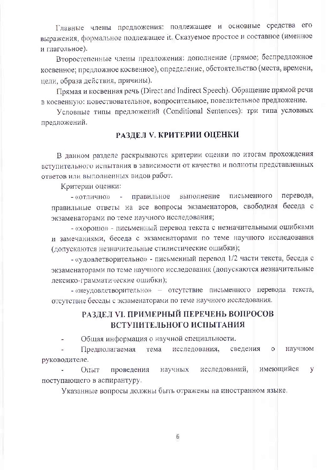Главные члены предложения: подлежащее и основные средства его выражения, формальное подлежащее it. Сказуемое простое и составное (именное и глагольное).

Второстепенные члены предложения: дополнение (прямое; беспредложное косвенное; предложное косвенное), определение, обстоятельство (места, времени, цели, образа действия, причины).

Прямая и косвенная речь (Direct and Indirect Speech). Обращение прямой речи в косвенную: повествовательное, вопросительное, повелительное предложение.

Условные типы предложений (Conditional Sentences): три типа условных предложений.

#### РАЗДЕЛ V. КРИТЕРИИ ОЦЕНКИ

В данном разделе раскрываются критерии оценки по итогам прохождения вступительного испытания в зависимости от качества и полноты представленных ответов или выполненных видов работ.

Критерии оценки:

перевода, письменного - «отлично» - правильное выполнение правильные ответы на все вопросы экзаменаторов, свободная беседа с экзаменаторами по теме научного исследования;

- «хорошо» - письменный перевод текста с незначительными ошибками и замечаниями, беседа с экзаменаторами по теме научного исследования (допускаются незначительные стилистические ошибки);

- «удовлетворительно» - письменный перевод 1/2 части текста, беседа с экзаменаторами по теме научного исследования (допускаются незначительные лексико-грамматические ошибки);

- «неудовлетворительно» - отсутствие письменного перевода текста, отсутствие беседы с экзаменаторами по теме научного исследования.

### РАЗДЕЛ VI. ПРИМЕРНЫЙ ПЕРЕЧЕНЬ ВОПРОСОВ ВСТУПИТЕЛЬНОГО ИСПЫТАНИЯ

Общая информация о научной специальности.

Предполагаемая исследования, сведения научном тема  $\circ$ руководителе.

имеющийся исследований, y **OII**<sub>oIT</sub> проведения научных поступающего в аспирантуру.

Указанные вопросы должны быть отражены на иностранном языке.

6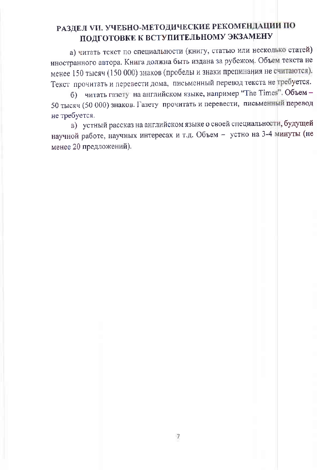# РАЗДЕЛ VII. УЧЕБНО-МЕТОДИЧЕСКИЕ РЕКОМЕНДАЦИИ ПО ПОДГОТОВКЕ К ВСТУПИТЕЛЬНОМУ ЭКЗАМЕНУ

а) читать текст по специальности (книгу, статью или несколько статей) иностранного автора. Книга должна быть издана за рубежом. Объем текста не менее 150 тысяч (150 000) знаков (пробелы и знаки препинания не считаются). Текст прочитать и перевести дома, письменный перевод текста не требуется.

б) читать газету на английском языке, например "The Times". Объем -50 тысяч (50 000) знаков. Газету прочитать и перевести, письменный перевод не требуется.

в) устный рассказ на английском языке о своей специальности, будущей научной работе, научных интересах и т.д. Объем - устно на 3-4 минуты (не менее 20 предложений).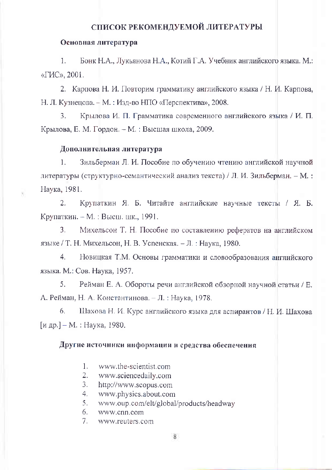### СПИСОК РЕКОМЕНДУЕМОЙ ЛИТЕРАТУРЫ

#### Основная литература

Бонк Н.А., Лукьянова Н.А., Котий Г.А. Учебник английского языка. М.:  $1<sub>1</sub>$ «ГИС», 2001.

2. Карпова Н. И. Повторим грамматику английского языка / Н. И. Карпова, Н. Л. Кузнецова. - М. : Изд-во НПО «Перспектива», 2008.

 $3<sub>1</sub>$ Крылова И. П. Грамматика современного английского языка / И. П. Крылова, Е. М. Гордон. – М. : Высшая школа, 2009.

#### Дополнительная литература

 $\bar{\chi}$ 

 $1.$ Зильберман Л. И. Пособие по обучению чтению английской научной литературы (структурно-семантический анализ текста) / Л. И. Зильберман. - М.: Наука, 1981.

 $2.$ Крупаткин Я. Б. Читайте английские научные тексты / Я. Б. Крупаткин. - М. : Выеш. шк., 1991.

 $3.$ Михельсон Т. Н. Пособие по составлению рефератов на английском языке / Т. Н. Михельсон, Н. В. Успенская. - Л.: Наука, 1980.

 $4.$ Новицкая Т.М. Основы грамматики и словообразования английского языка. М.: Сов. Наука, 1957.

5. Рейман Е. А. Обороты речи английской обзорной научной статьи / Е. А. Рейман, Н. А. Константинова. - Л. : Наука, 1978.

6. Шахова Н. И. Курс английского языка для аспирантов / Н. И. Шахова [и др.] – М. : Наука, 1980.

#### Другие источники информации и средства обеспечения

- $1.$ www.the-scientist.com
- $2.$ www.sciencedaily.com
- $3<sub>1</sub>$ http://www.scopus.com
- $4<sub>1</sub>$ www.physics.about.com
- $5<sub>1</sub>$ www.oup.com/elt/global/products/headway
- 6. www.cnn.com
- $7.$ www.reuters.com